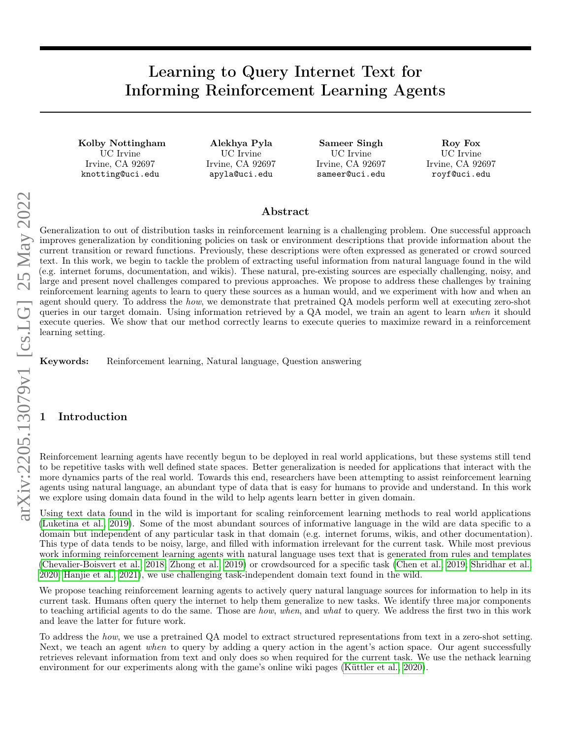# Learning to Query Internet Text for Informing Reinforcement Learning Agents

Kolby Nottingham UC Irvine Irvine, CA 92697 knotting@uci.edu

Alekhya Pyla UC Irvine Irvine, CA 92697 apyla@uci.edu

Sameer Singh UC Irvine Irvine, CA 92697 sameer@uci.edu

Roy Fox UC Irvine Irvine, CA 92697 royf@uci.edu

## Abstract

Generalization to out of distribution tasks in reinforcement learning is a challenging problem. One successful approach improves generalization by conditioning policies on task or environment descriptions that provide information about the current transition or reward functions. Previously, these descriptions were often expressed as generated or crowd sourced text. In this work, we begin to tackle the problem of extracting useful information from natural language found in the wild (e.g. internet forums, documentation, and wikis). These natural, pre-existing sources are especially challenging, noisy, and large and present novel challenges compared to previous approaches. We propose to address these challenges by training reinforcement learning agents to learn to query these sources as a human would, and we experiment with how and when an agent should query. To address the *how*, we demonstrate that pretrained QA models perform well at executing zero-shot queries in our target domain. Using information retrieved by a QA model, we train an agent to learn when it should execute queries. We show that our method correctly learns to execute queries to maximize reward in a reinforcement learning setting.

Keywords: Reinforcement learning, Natural language, Question answering

## **Introduction**

Reinforcement learning agents have recently begun to be deployed in real world applications, but these systems still tend to be repetitive tasks with well defined state spaces. Better generalization is needed for applications that interact with the more dynamics parts of the real world. Towards this end, researchers have been attempting to assist reinforcement learning agents using natural language, an abundant type of data that is easy for humans to provide and understand. In this work we explore using domain data found in the wild to help agents learn better in given domain.

Using text data found in the wild is important for scaling reinforcement learning methods to real world applications [\(Luketina et al., 2019\)](#page-4-0). Some of the most abundant sources of informative language in the wild are data specific to a domain but independent of any particular task in that domain (e.g. internet forums, wikis, and other documentation). This type of data tends to be noisy, large, and filled with information irrelevant for the current task. While most previous work informing reinforcement learning agents with natural language uses text that is generated from rules and templates [\(Chevalier-Boisvert et al., 2018;](#page-3-0) [Zhong et al., 2019\)](#page-4-1) or crowdsourced for a specific task [\(Chen et al., 2019;](#page-3-1) [Shridhar et al.,](#page-4-2) [2020;](#page-4-2) [Hanjie et al., 2021\)](#page-4-3), we use challenging task-independent domain text found in the wild.

We propose teaching reinforcement learning agents to actively query natural language sources for information to help in its current task. Humans often query the internet to help them generalize to new tasks. We identify three major components to teaching artificial agents to do the same. Those are *how, when*, and what to query. We address the first two in this work and leave the latter for future work.

To address the how, we use a pretrained QA model to extract structured representations from text in a zero-shot setting. Next, we teach an agent when to query by adding a query action in the agent's action space. Our agent successfully retrieves relevant information from text and only does so when required for the current task. We use the nethack learning environment for our experiments along with the game's online wiki pages [\(Küttler et al., 2020\)](#page-4-4).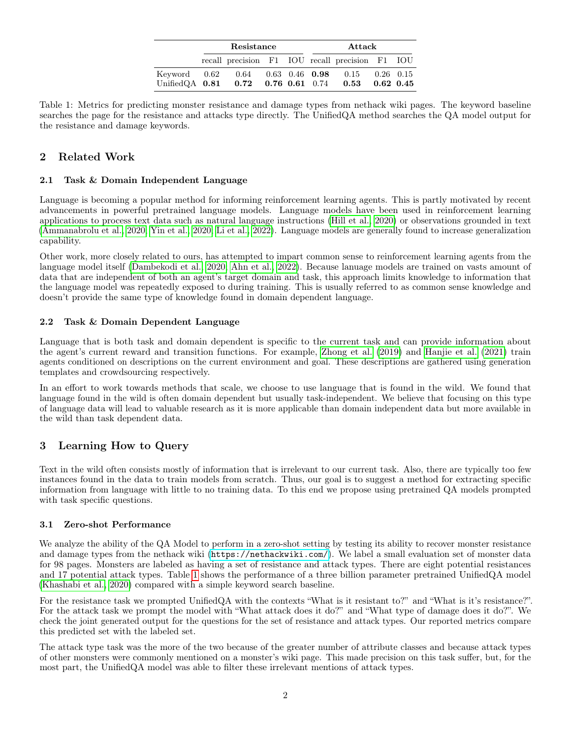|                                                                                                                      | Resistance |                                                 |  |  | Attack |  |  |  |
|----------------------------------------------------------------------------------------------------------------------|------------|-------------------------------------------------|--|--|--------|--|--|--|
|                                                                                                                      |            | recall precision F1 IOU recall precision F1 IOU |  |  |        |  |  |  |
| Keyword 0.62 0.64 0.63 0.46 0.98 0.15 0.26 0.15<br>UnifiedQA $0.81$ $0.72$ $0.76$ $0.61$ $0.74$ $0.53$ $0.62$ $0.45$ |            |                                                 |  |  |        |  |  |  |

<span id="page-1-0"></span>Table 1: Metrics for predicting monster resistance and damage types from nethack wiki pages. The keyword baseline searches the page for the resistance and attacks type directly. The UnifiedQA method searches the QA model output for the resistance and damage keywords.

## 2 Related Work

### 2.1 Task & Domain Independent Language

Language is becoming a popular method for informing reinforcement learning agents. This is partly motivated by recent advancements in powerful pretrained language models. Language models have been used in reinforcement learning applications to process text data such as natural language instructions [\(Hill et al., 2020\)](#page-4-5) or observations grounded in text [\(Ammanabrolu et al., 2020;](#page-3-2) [Yin et al., 2020;](#page-4-6) [Li et al., 2022\)](#page-4-7). Language models are generally found to increase generalization capability.

Other work, more closely related to ours, has attempted to impart common sense to reinforcement learning agents from the language model itself [\(Dambekodi et al., 2020;](#page-3-3) [Ahn et al., 2022\)](#page-3-4). Because lanuage models are trained on vasts amount of data that are independent of both an agent's target domain and task, this approach limits knowledge to information that the language model was repeatedly exposed to during training. This is usually referred to as common sense knowledge and doesn't provide the same type of knowledge found in domain dependent language.

### 2.2 Task & Domain Dependent Language

Language that is both task and domain dependent is specific to the current task and can provide information about the agent's current reward and transition functions. For example, [Zhong et al.](#page-4-1) [\(2019\)](#page-4-1) and [Hanjie et al.](#page-4-3) [\(2021\)](#page-4-3) train agents conditioned on descriptions on the current environment and goal. These descriptions are gathered using generation templates and crowdsourcing respectively.

In an effort to work towards methods that scale, we choose to use language that is found in the wild. We found that language found in the wild is often domain dependent but usually task-independent. We believe that focusing on this type of language data will lead to valuable research as it is more applicable than domain independent data but more available in the wild than task dependent data.

## <span id="page-1-1"></span>3 Learning How to Query

Text in the wild often consists mostly of information that is irrelevant to our current task. Also, there are typically too few instances found in the data to train models from scratch. Thus, our goal is to suggest a method for extracting specific information from language with little to no training data. To this end we propose using pretrained QA models prompted with task specific questions.

### 3.1 Zero-shot Performance

We analyze the ability of the QA Model to perform in a zero-shot setting by testing its ability to recover monster resistance and damage types from the nethack wiki (<https://nethackwiki.com/>). We label a small evaluation set of monster data for 98 pages. Monsters are labeled as having a set of resistance and attack types. There are eight potential resistances and 17 potential attack types. Table [1](#page-1-0) shows the performance of a three billion parameter pretrained UnifiedQA model [\(Khashabi et al., 2020\)](#page-4-8) compared with a simple keyword search baseline.

For the resistance task we prompted UnifiedQA with the contexts "What is it resistant to?" and "What is it's resistance?". For the attack task we prompt the model with "What attack does it do?" and "What type of damage does it do?". We check the joint generated output for the questions for the set of resistance and attack types. Our reported metrics compare this predicted set with the labeled set.

The attack type task was the more of the two because of the greater number of attribute classes and because attack types of other monsters were commonly mentioned on a monster's wiki page. This made precision on this task suffer, but, for the most part, the UnifiedQA model was able to filter these irrelevant mentions of attack types.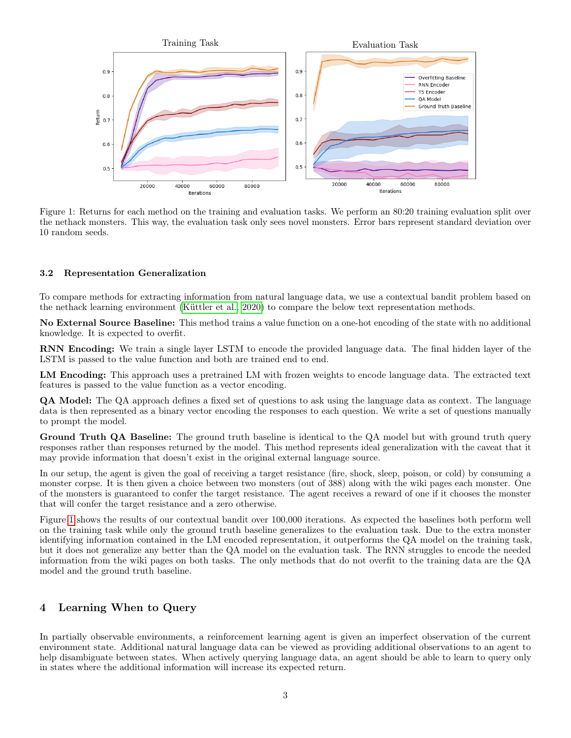<span id="page-2-0"></span>

Figure 1: Returns for each method on the training and evaluation tasks. We perform an 80:20 training evaluation split over the nethack monsters. This way, the evaluation task only sees novel monsters. Error bars represent standard deviation over 10 random seeds.

#### 3.2 Representation Generalization

To compare methods for extracting information from natural language data, we use a contextual bandit problem based on the nethack learning environment [\(Küttler et al., 2020\)](#page-4-4) to compare the below text representation methods.

No External Source Baseline: This method trains a value function on a one-hot encoding of the state with no additional knowledge. It is expected to overfit.

RNN Encoding: We train a single layer LSTM to encode the provided language data. The final hidden layer of the LSTM is passed to the value function and both are trained end to end.

LM Encoding: This approach uses a pretrained LM with frozen weights to encode language data. The extracted text features is passed to the value function as a vector encoding.

QA Model: The QA approach defines a fixed set of questions to ask using the language data as context. The language data is then represented as a binary vector encoding the responses to each question. We write a set of questions manually to prompt the model.

Ground Truth QA Baseline: The ground truth baseline is identical to the QA model but with ground truth query responses rather than responses returned by the model. This method represents ideal generalization with the caveat that it may provide information that doesn't exist in the original external language source.

In our setup, the agent is given the goal of receiving a target resistance (fire, shock, sleep, poison, or cold) by consuming a monster corpse. It is then given a choice between two monsters (out of 388) along with the wiki pages each monster. One of the monsters is guaranteed to confer the target resistance. The agent receives a reward of one if it chooses the monster that will confer the target resistance and a zero otherwise.

Figure [1](#page-2-0) shows the results of our contextual bandit over 100,000 iterations. As expected the baselines both perform well on the training task while only the ground truth baseline generalizes to the evaluation task. Due to the extra monster identifying information contained in the LM encoded representation, it outperforms the QA model on the training task, but it does not generalize any better than the QA model on the evaluation task. The RNN struggles to encode the needed information from the wiki pages on both tasks. The only methods that do not overfit to the training data are the QA model and the ground truth baseline.

### 4 Learning When to Query

In partially observable environments, a reinforcement learning agent is given an imperfect observation of the current environment state. Additional natural language data can be viewed as providing additional observations to an agent to help disambiguate between states. When actively querying language data, an agent should be able to learn to query only in states where the additional information will increase its expected return.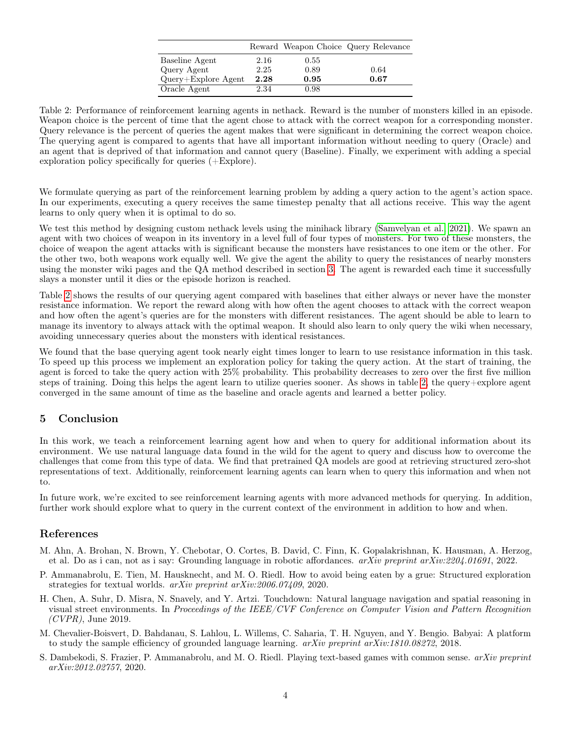|                       |      |      | Reward Weapon Choice Query Relevance |
|-----------------------|------|------|--------------------------------------|
| Baseline Agent        | 2.16 | 0.55 |                                      |
| Query Agent           | 2.25 | 0.89 | 0.64                                 |
| $Query+Explore$ Agent | 2.28 | 0.95 | 0.67                                 |
| Oracle Agent          | 2.34 | 0.98 |                                      |

<span id="page-3-5"></span>Table 2: Performance of reinforcement learning agents in nethack. Reward is the number of monsters killed in an episode. Weapon choice is the percent of time that the agent chose to attack with the correct weapon for a corresponding monster. Query relevance is the percent of queries the agent makes that were significant in determining the correct weapon choice. The querying agent is compared to agents that have all important information without needing to query (Oracle) and an agent that is deprived of that information and cannot query (Baseline). Finally, we experiment with adding a special exploration policy specifically for queries (+Explore).

We formulate querying as part of the reinforcement learning problem by adding a query action to the agent's action space. In our experiments, executing a query receives the same timestep penalty that all actions receive. This way the agent learns to only query when it is optimal to do so.

We test this method by designing custom nethack levels using the minihack library [\(Samvelyan et al., 2021\)](#page-4-9). We spawn an agent with two choices of weapon in its inventory in a level full of four types of monsters. For two of these monsters, the choice of weapon the agent attacks with is significant because the monsters have resistances to one item or the other. For the other two, both weapons work equally well. We give the agent the ability to query the resistances of nearby monsters using the monster wiki pages and the QA method described in section [3.](#page-1-1) The agent is rewarded each time it successfully slays a monster until it dies or the episode horizon is reached.

Table [2](#page-3-5) shows the results of our querying agent compared with baselines that either always or never have the monster resistance information. We report the reward along with how often the agent chooses to attack with the correct weapon and how often the agent's queries are for the monsters with different resistances. The agent should be able to learn to manage its inventory to always attack with the optimal weapon. It should also learn to only query the wiki when necessary, avoiding unnecessary queries about the monsters with identical resistances.

We found that the base querying agent took nearly eight times longer to learn to use resistance information in this task. To speed up this process we implement an exploration policy for taking the query action. At the start of training, the agent is forced to take the query action with 25% probability. This probability decreases to zero over the first five million steps of training. Doing this helps the agent learn to utilize queries sooner. As shows in table [2,](#page-3-5) the query+explore agent converged in the same amount of time as the baseline and oracle agents and learned a better policy.

## 5 Conclusion

In this work, we teach a reinforcement learning agent how and when to query for additional information about its environment. We use natural language data found in the wild for the agent to query and discuss how to overcome the challenges that come from this type of data. We find that pretrained QA models are good at retrieving structured zero-shot representations of text. Additionally, reinforcement learning agents can learn when to query this information and when not to.

In future work, we're excited to see reinforcement learning agents with more advanced methods for querying. In addition, further work should explore what to query in the current context of the environment in addition to how and when.

## References

- <span id="page-3-4"></span>M. Ahn, A. Brohan, N. Brown, Y. Chebotar, O. Cortes, B. David, C. Finn, K. Gopalakrishnan, K. Hausman, A. Herzog, et al. Do as i can, not as i say: Grounding language in robotic affordances. arXiv preprint arXiv:2204.01691, 2022.
- <span id="page-3-2"></span>P. Ammanabrolu, E. Tien, M. Hausknecht, and M. O. Riedl. How to avoid being eaten by a grue: Structured exploration strategies for textual worlds. arXiv preprint arXiv:2006.07409, 2020.
- <span id="page-3-1"></span>H. Chen, A. Suhr, D. Misra, N. Snavely, and Y. Artzi. Touchdown: Natural language navigation and spatial reasoning in visual street environments. In Proceedings of the IEEE/CVF Conference on Computer Vision and Pattern Recognition  $(CVPR)$ , June 2019.
- <span id="page-3-0"></span>M. Chevalier-Boisvert, D. Bahdanau, S. Lahlou, L. Willems, C. Saharia, T. H. Nguyen, and Y. Bengio. Babyai: A platform to study the sample efficiency of grounded language learning.  $arXiv$  preprint  $arXiv:1810.08272$ , 2018.
- <span id="page-3-3"></span>S. Dambekodi, S. Frazier, P. Ammanabrolu, and M. O. Riedl. Playing text-based games with common sense. arXiv preprint arXiv:2012.02757, 2020.